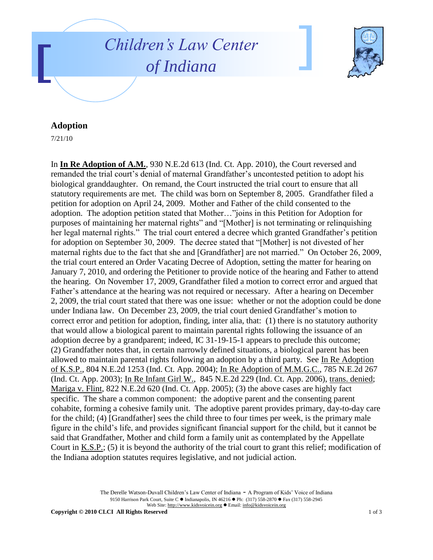



## **Adoption**

7/21/10

In **In Re Adoption of A.M.**, 930 N.E.2d 613 (Ind. Ct. App. 2010), the Court reversed and remanded the trial court's denial of maternal Grandfather's uncontested petition to adopt his biological granddaughter. On remand, the Court instructed the trial court to ensure that all statutory requirements are met. The child was born on September 8, 2005. Grandfather filed a petition for adoption on April 24, 2009. Mother and Father of the child consented to the adoption. The adoption petition stated that Mother…"joins in this Petition for Adoption for purposes of maintaining her maternal rights" and "[Mother] is not terminating or relinquishing her legal maternal rights." The trial court entered a decree which granted Grandfather's petition for adoption on September 30, 2009. The decree stated that "[Mother] is not divested of her maternal rights due to the fact that she and [Grandfather] are not married." On October 26, 2009, the trial court entered an Order Vacating Decree of Adoption, setting the matter for hearing on January 7, 2010, and ordering the Petitioner to provide notice of the hearing and Father to attend the hearing. On November 17, 2009, Grandfather filed a motion to correct error and argued that Father's attendance at the hearing was not required or necessary. After a hearing on December 2, 2009, the trial court stated that there was one issue: whether or not the adoption could be done under Indiana law. On December 23, 2009, the trial court denied Grandfather's motion to correct error and petition for adoption, finding, inter alia, that: (1) there is no statutory authority that would allow a biological parent to maintain parental rights following the issuance of an adoption decree by a grandparent; indeed, IC 31-19-15-1 appears to preclude this outcome; (2) Grandfather notes that, in certain narrowly defined situations, a biological parent has been allowed to maintain parental rights following an adoption by a third party. See In Re Adoption of K.S.P., 804 N.E.2d 1253 (Ind. Ct. App. 2004); In Re Adoption of M.M.G.C., 785 N.E.2d 267 (Ind. Ct. App. 2003); In Re Infant Girl W., 845 N.E.2d 229 (Ind. Ct. App. 2006), trans. denied; Mariga v. Flint, 822 N.E.2d 620 (Ind. Ct. App. 2005); (3) the above cases are highly fact specific. The share a common component: the adoptive parent and the consenting parent cohabite, forming a cohesive family unit. The adoptive parent provides primary, day-to-day care for the child; (4) [Grandfather] sees the child three to four times per week, is the primary male figure in the child"s life, and provides significant financial support for the child, but it cannot be said that Grandfather, Mother and child form a family unit as contemplated by the Appellate Court in K.S.P.; (5) it is beyond the authority of the trial court to grant this relief; modification of the Indiana adoption statutes requires legislative, and not judicial action.

> The Derelle Watson-Duvall Children"s Law Center of Indiana - A Program of Kids" Voice of Indiana 9150 Harrison Park Court, Suite C · Indianapolis, IN 46216 · Ph: (317) 558-2870 · Fax (317) 558-2945 Web Site: http://www.kidsvoicein.org · Email: info@kidsvoicein.org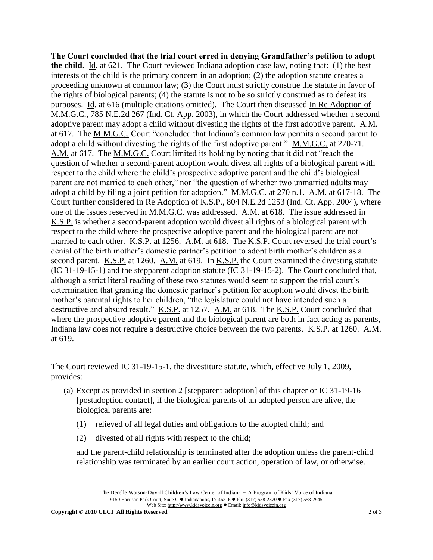**The Court concluded that the trial court erred in denying Grandfather's petition to adopt the child**. Id. at 621. The Court reviewed Indiana adoption case law, noting that: (1) the best interests of the child is the primary concern in an adoption; (2) the adoption statute creates a proceeding unknown at common law; (3) the Court must strictly construe the statute in favor of the rights of biological parents; (4) the statute is not to be so strictly construed as to defeat its purposes. Id. at 616 (multiple citations omitted). The Court then discussed In Re Adoption of M.M.G.C., 785 N.E.2d 267 (Ind. Ct. App. 2003), in which the Court addressed whether a second adoptive parent may adopt a child without divesting the rights of the first adoptive parent. A.M. at 617. The M.M.G.C. Court "concluded that Indiana"s common law permits a second parent to adopt a child without divesting the rights of the first adoptive parent." M.M.G.C. at 270-71. A.M. at 617. The M.M.G.C. Court limited its holding by noting that it did not "reach the question of whether a second-parent adoption would divest all rights of a biological parent with respect to the child where the child"s prospective adoptive parent and the child"s biological parent are not married to each other," nor "the question of whether two unmarried adults may adopt a child by filing a joint petition for adoption." M.M.G.C. at 270 n.1. A.M. at 617-18. The Court further considered In Re Adoption of K.S.P., 804 N.E.2d 1253 (Ind. Ct. App. 2004), where one of the issues reserved in M.M.G.C. was addressed. A.M. at 618. The issue addressed in K.S.P. is whether a second-parent adoption would divest all rights of a biological parent with respect to the child where the prospective adoptive parent and the biological parent are not married to each other. K.S.P. at 1256. A.M. at 618. The K.S.P. Court reversed the trial court's denial of the birth mother's domestic partner's petition to adopt birth mother's children as a second parent. K.S.P. at 1260. A.M. at 619. In K.S.P. the Court examined the divesting statute (IC 31-19-15-1) and the stepparent adoption statute (IC 31-19-15-2). The Court concluded that, although a strict literal reading of these two statutes would seem to support the trial court's determination that granting the domestic partner"s petition for adoption would divest the birth mother"s parental rights to her children, "the legislature could not have intended such a destructive and absurd result." K.S.P. at 1257. A.M. at 618. The K.S.P. Court concluded that where the prospective adoptive parent and the biological parent are both in fact acting as parents, Indiana law does not require a destructive choice between the two parents. K.S.P. at 1260. A.M. at 619.

The Court reviewed IC 31-19-15-1, the divestiture statute, which, effective July 1, 2009, provides:

- (a) Except as provided in section 2 [stepparent adoption] of this chapter or IC 31-19-16 [postadoption contact], if the biological parents of an adopted person are alive, the biological parents are:
	- (1) relieved of all legal duties and obligations to the adopted child; and
	- (2) divested of all rights with respect to the child;

and the parent-child relationship is terminated after the adoption unless the parent-child relationship was terminated by an earlier court action, operation of law, or otherwise.

The Derelle Watson-Duvall Children"s Law Center of Indiana - A Program of Kids" Voice of Indiana 9150 Harrison Park Court, Suite C · Indianapolis, IN 46216 · Ph: (317) 558-2870 · Fax (317) 558-2945 Web Site: http://www.kidsvoicein.org · Email: info@kidsvoicein.org